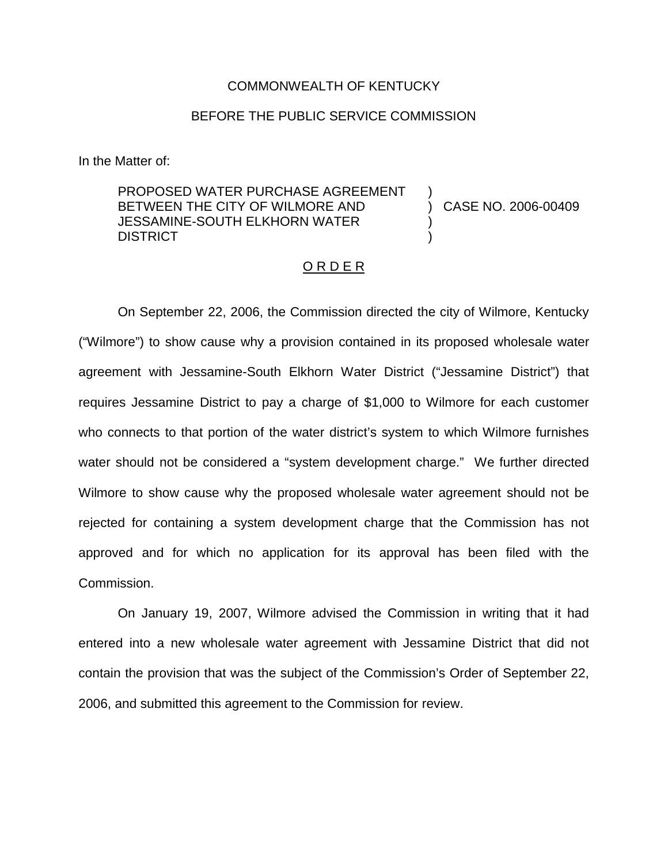## COMMONWEALTH OF KENTUCKY

## BEFORE THE PUBLIC SERVICE COMMISSION

In the Matter of:

PROPOSED WATER PURCHASE AGREEMENT BETWEEN THE CITY OF WILMORE AND JESSAMINE-SOUTH ELKHORN WATER DISTRICT ) ) CASE NO. 2006-00409 ) )

## O R D E R

On September 22, 2006, the Commission directed the city of Wilmore, Kentucky ("Wilmore") to show cause why a provision contained in its proposed wholesale water agreement with Jessamine-South Elkhorn Water District ("Jessamine District") that requires Jessamine District to pay a charge of \$1,000 to Wilmore for each customer who connects to that portion of the water district's system to which Wilmore furnishes water should not be considered a "system development charge." We further directed Wilmore to show cause why the proposed wholesale water agreement should not be rejected for containing a system development charge that the Commission has not approved and for which no application for its approval has been filed with the Commission.

On January 19, 2007, Wilmore advised the Commission in writing that it had entered into a new wholesale water agreement with Jessamine District that did not contain the provision that was the subject of the Commission's Order of September 22, 2006, and submitted this agreement to the Commission for review.